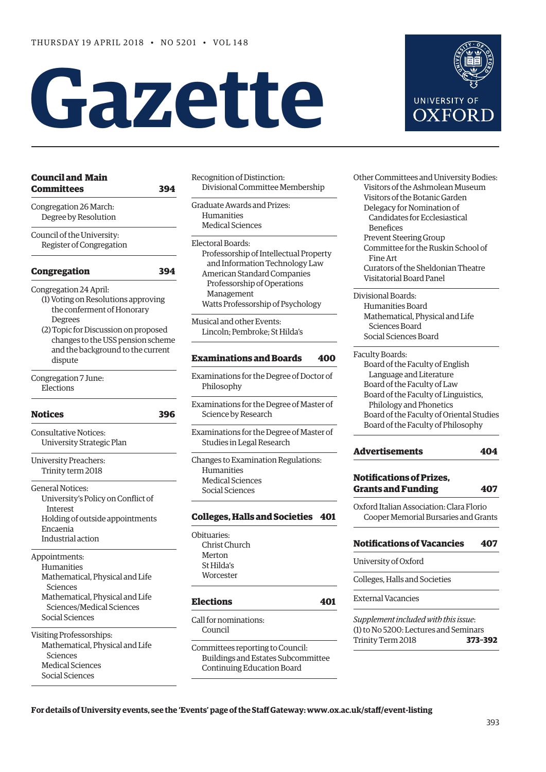# **Gazette**

| Council and Main<br>Committees<br>394                                                                                                                                                                                               |
|-------------------------------------------------------------------------------------------------------------------------------------------------------------------------------------------------------------------------------------|
| Congregation 26 March:<br>Degree by Resolution                                                                                                                                                                                      |
| Council of the University:<br>Register of Congregation                                                                                                                                                                              |
| Congregation<br>394                                                                                                                                                                                                                 |
| Congregation 24 April:<br>(1) Voting on Resolutions approving<br>the conferment of Honorary<br>Degrees<br>(2) Topic for Discussion on proposed<br>changes to the USS pension scheme<br>and the background to the current<br>dispute |
| Congregation 7 June:<br>Elections                                                                                                                                                                                                   |
| Notices<br>396                                                                                                                                                                                                                      |
| Consultative Notices:<br>University Strategic Plan                                                                                                                                                                                  |
| <b>University Preachers:</b><br>Trinity term 2018                                                                                                                                                                                   |
| <b>General Notices:</b><br>University's Policy on Conflict of<br>Interest<br>Holding of outside appointments<br>Encaenia<br>Industrial action                                                                                       |
| Appointments:<br>Humanities<br>Mathematical, Physical and Life<br>Sciences<br>Mathematical, Physical and Life<br>Sciences/Medical Sciences<br>Social Sciences                                                                       |
| Visiting Professorships:<br>Mathematical, Physical and Life<br>Sciences<br><b>Medical Sciences</b>                                                                                                                                  |

Social Sciences

Recognition of Distinction: Divisional Committee Membership

Graduate Awards and Prizes: Humanities Medical Sciences

- Electoral Boards: Professorship of Intellectual Property and Information Technology Law American Standard Companies Professorship of Operations Management Watts Professorship of Psychology
- Musical and other Events: Lincoln; Pembroke; St Hilda's

# **[Examinations and Boards](#page-7-0) 400**

Examinations for the Degree of Doctor of Philosophy

Examinations for the Degree of Master of Science by Research

Examinations for the Degree of Master of Studies in Legal Research

Changes to Examination Regulations: Humanities Medical Sciences Social Sciences

# **[Colleges, Halls and Societies](#page-8-0) 401**

Obituaries: Christ Church Merton St Hilda's **Worcester** 

## **[Elections](#page-8-0) 401**

Call for nominations: Council

Committees reporting to Council: Buildings and Estates Subcommittee Continuing Education Board

Other Committees and University Bodies: Visitors of the Ashmolean Museum Visitors of the Botanic Garden Delegacy for Nomination of Candidates for Ecclesiastical Benefices Prevent Steering Group Committee for the Ruskin School of Fine Art Curators of the Sheldonian Theatre Visitatorial Board Panel

Divisional Boards: Humanities Board Mathematical, Physical and Life Sciences Board Social Sciences Board

- Faculty Boards: Board of the Faculty of English Language and Literature Board of the Faculty of Law Board of the Faculty of Linguistics, Philology and Phonetics Board of the Faculty of Oriental Studies Board of the Faculty of Philosophy
- **[Advertisements](#page-11-0) 404**

# **[Notifications of Prizes,](#page-14-0)  Grants and Funding 407**

Oxford Italian Association: Clara Florio Cooper Memorial Bursaries and Grants

# **[Notifications of Vacancies 407](#page-14-0)**

University of Oxford

Colleges, Halls and Societies

External Vacancies

*Supplement included with this issue*: (1) to No 5200: Lectures and Seminars Trinity Term 2018 **373–392**

**For details of University events, see the 'Events' page of the Staff Gateway: [www.ox.ac.uk/staff/event-listing](http://www.ox.ac.uk/staff/event-listing)**

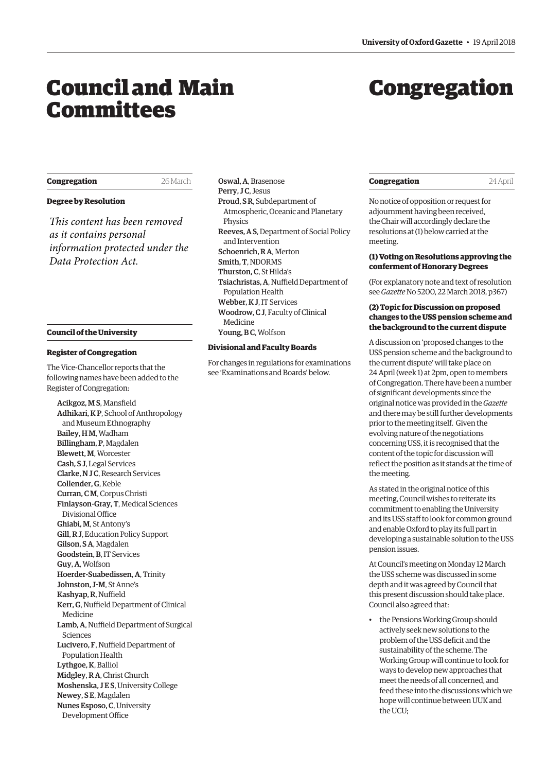# <span id="page-1-0"></span>Council and Main Committees

# Congregation

# **Congregation** 26 March

# **Degree by Resolution**

*This content has been removed as it contains personal information protected under the Data Protection Act.*

#### **Council of the University**

#### **Register of Congregation**

The Vice-Chancellor reports that the following names have been added to the Register of Congregation:

Acikgoz, M S, Mansfield Adhikari, K P, School of Anthropology and Museum Ethnography Bailey, H M, Wadham Billingham, P, Magdalen Blewett, M, Worcester Cash, S J, Legal Services Clarke, N J C, Research Services Collender, G, Keble Curran, C M, Corpus Christi Finlayson-Gray, T, Medical Sciences Divisional Office Ghiabi, M, St Antony's Gill, R J, Education Policy Support Gilson, S A, Magdalen Goodstein, B, IT Services Guy, A, Wolfson Hoerder-Suabedissen, A, Trinity Johnston, J-M, St Anne's Kashyap, R, Nuffield Kerr, G, Nuffield Department of Clinical Medicine Lamb, A, Nuffield Department of Surgical Sciences Lucivero, F, Nuffield Department of Population Health Lythgoe, K, Balliol Midgley, R A, Christ Church Moshenska, J E S, University College Newey, S E, Magdalen Nunes Esposo, C, University Development Office

Oswal, A, Brasenose Perry, JC, Jesus Proud, S R, Subdepartment of Atmospheric, Oceanic and Planetary Physics Reeves, A S, Department of Social Policy and Intervention Schoenrich, R A, Merton Smith, T, NDORMS Thurston, C, St Hilda's Tsiachristas, A, Nuffield Department of Population Health Webber, K J, IT Services Woodrow, C J, Faculty of Clinical Medicine Young, B C, Wolfson

#### **Divisional and Faculty Boards**

For changes in regulations for examinations see 'Examinations and Boards' below.

# **Congregation** 24 April

No notice of opposition or request for adjournment having been received, the Chair will accordingly declare the resolutions at (1) below carried at the meeting.

# **(1) Voting on Resolutions approving the conferment of Honorary Degrees**

(For explanatory note and text of resolution see *Gazette* No 5200, 22 March 2018, p367)

# **(2) Topic for Discussion on proposed changes to the USS pension scheme and the background to the current dispute**

A discussion on 'proposed changes to the USS pension scheme and the background to the current dispute' will take place on 24 April (week 1) at 2pm, open to members of Congregation. There have been a number of significant developments since the original notice was provided in the *Gazette* and there may be still further developments prior to the meeting itself. Given the evolving nature of the negotiations concerning USS, it is recognised that the content of the topic for discussion will reflect the position as it stands at the time of the meeting.

As stated in the original notice of this meeting, Council wishes to reiterate its commitment to enabling the University and its USS staff to look for common ground and enable Oxford to play its full part in developing a sustainable solution to the USS pension issues.

At Council's meeting on Monday 12 March the USS scheme was discussed in some depth and it was agreed by Council that this present discussion should take place. Council also agreed that:

• the Pensions Working Group should actively seek new solutions to the problem of the USS deficit and the sustainability of the scheme. The Working Group will continue to look for ways to develop new approaches that meet the needs of all concerned, and feed these into the discussions which we hope will continue between UUK and the UCU;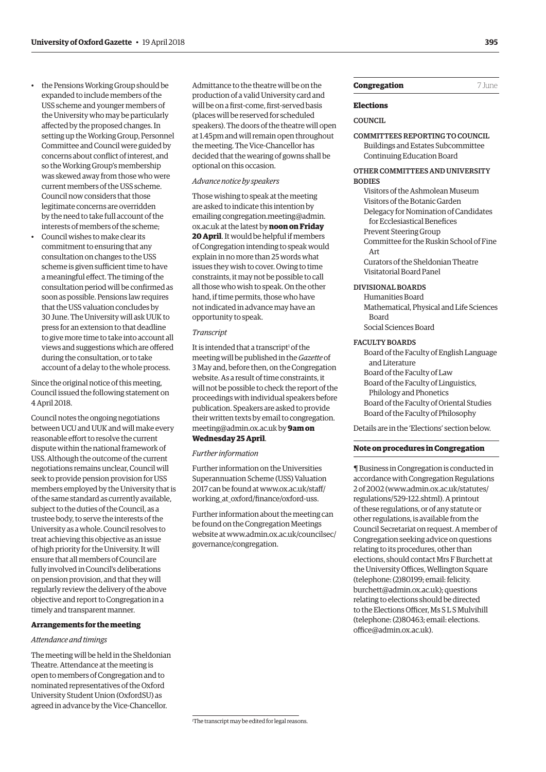- the Pensions Working Group should be expanded to include members of the USS scheme and younger members of the University who may be particularly affected by the proposed changes. In setting up the Working Group, Personnel Committee and Council were guided by concerns about conflict of interest, and so the Working Group's membership was skewed away from those who were current members of the USS scheme. Council now considers that those legitimate concerns are overridden by the need to take full account of the interests of members of the scheme;
- Council wishes to make clear its commitment to ensuring that any consultation on changes to the USS scheme is given sufficient time to have a meaningful effect. The timing of the consultation period will be confirmed as soon as possible. Pensions law requires that the USS valuation concludes by 30 June. The University will ask UUK to press for an extension to that deadline to give more time to take into account all views and suggestions which are offered during the consultation, or to take account of a delay to the whole process.

Since the original notice of this meeting, Council issued the following statement on 4 April 2018.

Council notes the ongoing negotiations between UCU and UUK and will make every reasonable effort to resolve the current dispute within the national framework of USS. Although the outcome of the current negotiations remains unclear, Council will seek to provide pension provision for USS members employed by the University that is of the same standard as currently available, subject to the duties of the Council, as a trustee body, to serve the interests of the University as a whole. Council resolves to treat achieving this objective as an issue of high priority for the University. It will ensure that all members of Council are fully involved in Council's deliberations on pension provision, and that they will regularly review the delivery of the above objective and report to Congregation in a timely and transparent manner.

# **Arrangements for the meeting**

## *Attendance and timings*

The meeting will be held in the Sheldonian Theatre. Attendance at the meeting is open to members of Congregation and to nominated representatives of the Oxford University Student Union (OxfordSU) as agreed in advance by the Vice-Chancellor.

Admittance to the theatre will be on the production of a valid University card and will be on a first-come, first-served basis (places will be reserved for scheduled speakers). The doors of the theatre will open at 1.45pm and will remain open throughout the meeting. The Vice-Chancellor has decided that the wearing of gowns shall be optional on this occasion.

# *Advance notice by speakers*

Those wishing to speak at the meeting are asked to indicate this intention by emailing congregation.meeting@admin. ox.ac.uk at the latest by **noon on Friday 20 April**. It would be helpful if members of Congregation intending to speak would explain in no more than 25 words what issues they wish to cover. Owing to time constraints, it may not be possible to call all those who wish to speak. On the other hand, if time permits, those who have not indicated in advance may have an opportunity to speak.

#### *Transcript*

It is intended that a transcript<sup>1</sup> of the meeting will be published in the *Gazette* of 3 May and, before then, on the Congregation website. As a result of time constraints, it will not be possible to check the report of the proceedings with individual speakers before publication. Speakers are asked to provide [their written texts by email to congregation.](mailto:congregation.meeting@admin.ox.ac.uk) meeting@admin.ox.ac.uk by **9am on Wednesday 25 April**.

#### *Further information*

Further information on the Universities Superannuation Scheme (USS) Valuation [2017 can be found at www.ox.ac.uk/staff/](www.ox.ac.uk/staff/working_at_oxford/finance/oxford-uss) working\_at\_oxford/finance/oxford-uss.

Further information about the meeting can be found on the Congregation Meetings [website at www.admin.ox.ac.uk/councilsec/](www.admin.ox.ac.uk/councilsec/governance/congregation) governance/congregation.

# **Congregation** 7 June

# **Elections**

# COUNCIL

COMMITTEES REPORTING TO COUNCIL Buildings and Estates Subcommittee Continuing Education Board

# OTHER COMMITTEES AND UNIVERSITY **BODIES**

Visitors of the Ashmolean Museum Visitors of the Botanic Garden Delegacy for Nomination of Candidates for Ecclesiastical Benefices Prevent Steering Group Committee for the Ruskin School of Fine Art Curators of the Sheldonian Theatre

#### DIVISIONAL BOARDS

Visitatorial Board Panel

Humanities Board Mathematical, Physical and Life Sciences Board Social Sciences Board

## FACULTY BOARDS

Board of the Faculty of English Language and Literature Board of the Faculty of Law Board of the Faculty of Linguistics, Philology and Phonetics Board of the Faculty of Oriental Studies Board of the Faculty of Philosophy

Details are in the 'Elections' section below.

#### **Note on procedures in Congregation**

¶ Business in Congregation is conducted in accordance with Congregation Regulations 2 of 2002 [\(www.admin.ox.ac.uk/statutes/](http://www.admin.ox.ac.uk/statutes/regulations/529-122.shtml) [regulations/529-122.shtml\). A p](http://www.admin.ox.ac.uk/statutes/regulations/529-122.shtml)rintout of these regulations, or of any statute or other regulations, is available from the Council Secretariat on request. A member of Congregation seeking advice on questions relating to its procedures, other than elections, should contact Mrs F Burchett at the University Offices, Wellington Square (telephone: (2)80199; email: felicity. [burchett@admin.ox.ac.uk\); questions](mailto:felicity.burchett@admin.ox.ac.uk)  relating to elections should be directed to the Elections Officer, Ms S L S Mulvihill [\(telephone: \(2\)80463; email: elections.](mailto:elections.office@admin.ox.ac.uk) office@admin.ox.ac.uk).

<sup>1</sup> The transcript may be edited for legal reasons.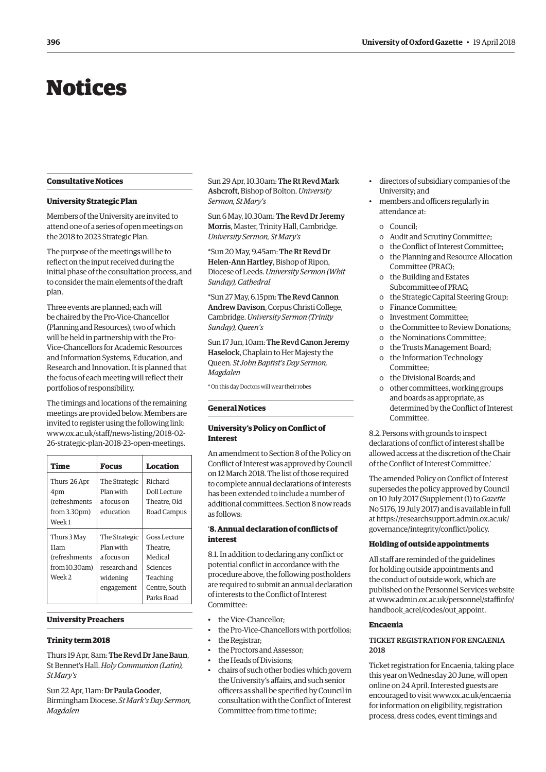# <span id="page-3-0"></span>Notices

# **Consultative Notices**

#### **University Strategic Plan**

Members of the University are invited to attend one of a series of open meetings on the 2018 to 2023 Strategic Plan.

The purpose of the meetings will be to reflect on the input received during the initial phase of the consultation process, and to consider the main elements of the draft plan.

Three events are planned; each will be chaired by the Pro-Vice-Chancellor (Planning and Resources), two of which will be held in partnership with the Pro-Vice-Chancellors for Academic Resources and Information Systems, Education, and Research and Innovation. It is planned that the focus of each meeting will reflect their portfolios of responsibility.

The timings and locations of the remaining meetings are provided below. Members are invited to register using the following link: [www.ox.ac.uk/staff/news-listing/2018-02-](http://www.ox.ac.uk/staff/news-listing/2018-02-26-strategic-plan-2018-23-open-meetings) [26-strategic-plan-2018-23-open-meetings.](http://www.ox.ac.uk/staff/news-listing/2018-02-26-strategic-plan-2018-23-open-meetings)

| Time                              | Focus                  | Location                                |
|-----------------------------------|------------------------|-----------------------------------------|
| Thurs 26 Apr                      | The Strategic          | Richard                                 |
| 4pm                               | Plan with              | Doll Lecture                            |
| (refreshments                     | a focus on             | Theatre. Old                            |
| from 3.30 <sub>pm</sub><br>Week 1 | education              | Road Campus                             |
| Thurs 3 May                       | The Strategic          | Goss Lecture                            |
| 11am                              | Plan with              | Theatre.                                |
| <i>(refreshments</i>              | a focus on             | Medical                                 |
| from 10.30am)                     | research and           | Sciences                                |
| Week <sub>2</sub>                 | widening<br>engagement | Teaching<br>Centre. South<br>Parks Road |

# **University Preachers**

#### **Trinity term 2018**

Thurs 19 Apr, 8am: The Revd Dr Jane Baun, St Bennet's Hall. *Holy Communion (Latin), St Mary's*

Sun 22 Apr, 11am: Dr Paula Gooder, Birmingham Diocese. *St Mark's Day Sermon, Magdalen*

Sun 29 Apr, 10.30am: The Rt Revd Mark Ashcroft, Bishop of Bolton. *University Sermon, St Mary's*

Sun 6 May, 10.30am: The Revd Dr Jeremy Morris, Master, Trinity Hall, Cambridge. *University Sermon, St Mary's*

\*Sun 20 May, 9.45am: The Rt Revd Dr Helen-Ann Hartley, Bishop of Ripon, Diocese of Leeds. *University Sermon (Whit Sunday), Cathedral*

\*Sun 27 May, 6.15pm: The Revd Cannon Andrew Davison, Corpus Christi College, Cambridge. *University Sermon (Trinity Sunday), Queen's*

Sun 17 Jun, 10am: The Revd Canon Jeremy Haselock, Chaplain to Her Majesty the Queen. *St John Baptist's Day Sermon, Magdalen*

\* On this day Doctors will wear their robes

#### **General Notices**

# **University's Policy on Conflict of Interest**

An amendment to Section 8 of the Policy on Conflict of Interest was approved by Council on 12 March 2018. The list of those required to complete annual declarations of interests has been extended to include a number of additional committees. Section 8 now reads as follows:

# '**8. Annual declaration of conflicts of interest**

8.1. In addition to declaring any conflict or potential conflict in accordance with the procedure above, the following postholders are required to submit an annual declaration of interests to the Conflict of Interest Committee:

- the Vice-Chancellor;
- the Pro-Vice-Chancellors with portfolios;
- the Registrar;
- the Proctors and Assessor;
- the Heads of Divisions;
- chairs of such other bodies which govern the University's affairs, and such senior officers as shall be specified by Council in consultation with the Conflict of Interest Committee from time to time;
- directors of subsidiary companies of the University; and
- members and officers regularly in attendance at:
	- o Council;
	- o Audit and Scrutiny Committee;
	- o the Conflict of Interest Committee;
	- o the Planning and Resource Allocation Committee (PRAC);
	- o the Building and Estates Subcommittee of PRAC;
	- o the Strategic Capital Steering Group;
	- o Finance Committee;
	- o Investment Committee;
	- o the Committee to Review Donations;
	- o the Nominations Committee;
	- o the Trusts Management Board;
	- o the Information Technology Committee;
	- o the Divisional Boards; and
	- o other committees, working groups and boards as appropriate, as determined by the Conflict of Interest Committee.

8.2. Persons with grounds to inspect declarations of conflict of interest shall be allowed access at the discretion of the Chair of the Conflict of Interest Committee.'

The amended Policy on Conflict of Interest supersedes the policy approved by Council on 10 July 2017 (Supplement (1) to *Gazette* No 5176, 19 July 2017) and is available in full [at https://researchsupport.admin.ox.ac.uk/](https://researchsupport.admin.ox.ac.uk/governance/integrity/conflict/policy) governance/integrity/conflict/policy.

#### **Holding of outside appointments**

All staff are reminded of the guidelines for holding outside appointments and the conduct of outside work, which are published on the Personnel Services website [at www.admin.ox.ac.uk/personnel/staffinfo/](www.admin.ox.ac.uk/personnel/staffinfo/handbook_acrel/codes/out_appoint) handbook acrel/codes/out appoint.

#### **Encaenia**

# TICKET REGISTRATION FOR ENCAENIA 2018

Ticket registration for Encaenia, taking place this year on Wednesday 20 June, will open online on 24 April. Interested guests are encouraged to visit [www.ox.ac.uk/encaenia](http://www.ox.ac.uk/encaenia)  for information on eligibility, registration process, dress codes, event timings and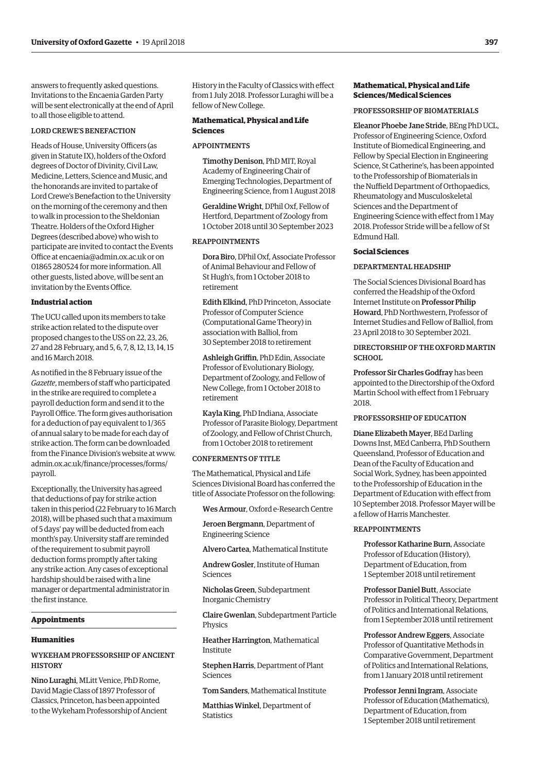answers to frequently asked questions. Invitations to the Encaenia Garden Party will be sent electronically at the end of April to all those eligible to attend.

# LORD CREWE'S BENEFACTION

Heads of House, University Officers (as given in Statute IX), holders of the Oxford degrees of Doctor of Divinity, Civil Law, Medicine, Letters, Science and Music, and the honorands are invited to partake of Lord Crewe's Benefaction to the University on the morning of the ceremony and then to walk in procession to the Sheldonian Theatre. Holders of the Oxford Higher Degrees (described above) who wish to participate are invited to contact the Events Office at [encaenia@admin.ox.ac.uk or](mailto:encaenia@admin.ox.ac.uk) on 01865 280524 for more information. All other guests, listed above, will be sent an invitation by the Events Office.

#### **Industrial action**

The UCU called upon its members to take strike action related to the dispute over proposed changes to the USS on 22, 23, 26, 27 and 28 February, and 5, 6, 7, 8, 12, 13, 14, 15 and 16 March 2018.

As notified in the 8 February issue of the *Gazette*, members of staff who participated in the strike are required to complete a payroll deduction form and send it to the Payroll Office. The form gives authorisation for a deduction of pay equivalent to 1/365 of annual salary to be made for each day of strike action. The form can be downloaded [from the Finance Division's website at www.](www.admin.ox.ac.uk/finance/processes/forms/payroll) admin.ox.ac.uk/finance/processes/forms/ payroll.

Exceptionally, the University has agreed that deductions of pay for strike action taken in this period (22 February to 16 March 2018), will be phased such that a maximum of 5 days' pay will be deducted from each month's pay. University staff are reminded of the requirement to submit payroll deduction forms promptly after taking any strike action. Any cases of exceptional hardship should be raised with a line manager or departmental administrator in the first instance.

#### **Appointments**

#### **Humanities**

# WYKEHAM PROFESSORSHIP OF ANCIENT **HISTORY**

Nino Luraghi, MLitt Venice, PhD Rome, David Magie Class of 1897 Professor of Classics, Princeton, has been appointed to the Wykeham Professorship of Ancient History in the Faculty of Classics with effect from 1 July 2018. Professor Luraghi will be a fellow of New College.

# **Mathematical, Physical and Life Sciences**

## APPOINTMENTS

Timothy Denison, PhD MIT, Royal Academy of Engineering Chair of Emerging Technologies, Department of Engineering Science, from 1 August 2018

Geraldine Wright, DPhil Oxf, Fellow of Hertford, Department of Zoology from 1 October 2018 until 30 September 2023

# REAPPOINTMENTS

Dora Biro, DPhil Oxf, Associate Professor of Animal Behaviour and Fellow of St Hugh's, from 1 October 2018 to retirement

Edith Elkind, PhD Princeton, Associate Professor of Computer Science (Computational Game Theory) in association with Balliol, from 30 September 2018 to retirement

Ashleigh Griffin, PhD Edin, Associate Professor of Evolutionary Biology, Department of Zoology, and Fellow of New College, from 1 October 2018 to retirement

Kayla King, PhD Indiana, Associate Professor of Parasite Biology, Department of Zoology, and Fellow of Christ Church, from 1 October 2018 to retirement

# CONFERMENTS OF TITLE

The Mathematical, Physical and Life Sciences Divisional Board has conferred the title of Associate Professor on the following:

Wes Armour, Oxford e-Research Centre

Jeroen Bergmann, Department of Engineering Science

Alvero Cartea, Mathematical Institute

Andrew Gosler, Institute of Human Sciences

Nicholas Green, Subdepartment Inorganic Chemistry

Claire Gwenlan, Subdepartment Particle Physics

Heather Harrington, Mathematical Institute

Stephen Harris, Department of Plant Sciences

Tom Sanders, Mathematical Institute

Matthias Winkel, Department of **Statistics** 

# **Mathematical, Physical and Life Sciences/Medical Sciences**

#### PROFESSORSHIP OF BIOMATERIALS

Eleanor Phoebe Jane Stride, BEng PhD UCL, Professor of Engineering Science, Oxford Institute of Biomedical Engineering, and Fellow by Special Election in Engineering Science, St Catherine's, has been appointed to the Professorship of Biomaterials in the Nuffield Department of Orthopaedics, Rheumatology and Musculoskeletal Sciences and the Department of Engineering Science with effect from 1 May 2018. Professor Stride will be a fellow of St Edmund Hall.

#### **Social Sciences**

#### DEPARTMENTAL HEADSHIP

The Social Sciences Divisional Board has conferred the Headship of the Oxford Internet Institute on Professor Philip Howard, PhD Northwestern, Professor of Internet Studies and Fellow of Balliol, from 23 April 2018 to 30 September 2021.

# DIRECTORSHIP OF THE OXFORD MARTIN **SCHOOL**

Professor Sir Charles Godfray has been appointed to the Directorship of the Oxford Martin School with effect from 1 February  $2018$ 

# PROFESSORSHIP OF EDUCATION

Diane Elizabeth Mayer, BEd Darling Downs Inst, MEd Canberra, PhD Southern Queensland, Professor of Education and Dean of the Faculty of Education and Social Work, Sydney, has been appointed to the Professorship of Education in the Department of Education with effect from 10 September 2018. Professor Mayer will be a fellow of Harris Manchester.

#### REAPPOINTMENTS

Professor Katharine Burn, Associate Professor of Education (History), Department of Education, from 1 September 2018 until retirement

Professor Daniel Butt, Associate Professor in Political Theory, Department of Politics and International Relations, from 1 September 2018 until retirement

Professor Andrew Eggers, Associate Professor of Quantitative Methods in Comparative Government, Department of Politics and International Relations, from 1 January 2018 until retirement

Professor Jenni Ingram, Associate Professor of Education (Mathematics), Department of Education, from 1 September 2018 until retirement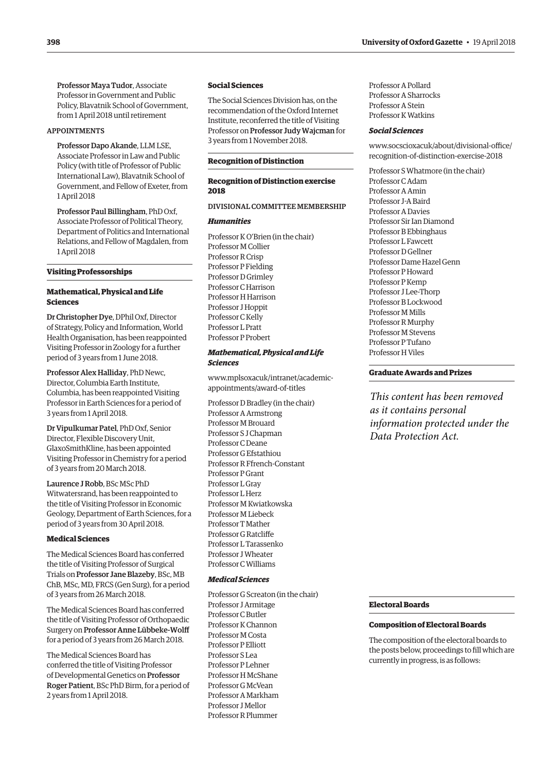Professor Maya Tudor, Associate Professor in Government and Public Policy, Blavatnik School of Government, from 1 April 2018 until retirement

#### APPOINTMENTS

Professor Dapo Akande, LLM LSE, Associate Professor in Law and Public Policy (with title of Professor of Public International Law), Blavatnik School of Government, and Fellow of Exeter, from 1 April 2018

Professor Paul Billingham, PhD Oxf, Associate Professor of Political Theory, Department of Politics and International Relations, and Fellow of Magdalen, from 1 April 2018

# **Visiting Professorships**

# **Mathematical, Physical and Life Sciences**

Dr Christopher Dye, DPhil Oxf, Director of Strategy, Policy and Information, World Health Organisation, has been reappointed Visiting Professor in Zoology for a further period of 3 years from 1 June 2018.

Professor Alex Halliday, PhD Newc, Director, Columbia Earth Institute, Columbia, has been reappointed Visiting Professor in Earth Sciences for a period of 3 years from 1 April 2018.

Dr Vipulkumar Patel, PhD Oxf, Senior Director, Flexible Discovery Unit, GlaxoSmithKline, has been appointed Visiting Professor in Chemistry for a period of 3 years from 20 March 2018.

Laurence J Robb, BSc MSc PhD Witwatersrand, has been reappointed to the title of Visiting Professor in Economic Geology, Department of Earth Sciences, for a period of 3 years from 30 April 2018.

# **Medical Sciences**

The Medical Sciences Board has conferred the title of Visiting Professor of Surgical Trials on Professor Jane Blazeby, BSc, MB ChB, MSc, MD, FRCS (Gen Surg), for a period of 3 years from 26 March 2018.

The Medical Sciences Board has conferred the title of Visiting Professor of Orthopaedic Surgery on Professor Anne Lübbeke-Wolff for a period of 3 years from 26 March 2018.

The Medical Sciences Board has conferred the title of Visiting Professor of Developmental Genetics on Professor Roger Patient, BSc PhD Birm, for a period of 2 years from 1 April 2018.

#### **Social Sciences**

The Social Sciences Division has, on the recommendation of the Oxford Internet Institute, reconferred the title of Visiting Professor on Professor Judy Wajcman for 3 years from 1 November 2018.

#### **Recognition of Distinction**

# **Recognition of Distinction exercise 2018**

# DIVISIONAL COMMITTEE MEMBERSHIP

# *Humanities*

Professor K O'Brien (in the chair) Professor M Collier Professor R Crisp Professor P Fielding Professor D Grimley Professor C Harrison Professor H Harrison Professor J Hoppit Professor C Kelly Professor L Pratt Professor P Probert

# *Mathematical, Physical and Life Sciences*

[www.mplsoxacuk/intranet/academic](www.mplsoxacuk/intranet/academic-appointments/award-of-titles)appointments/award-of-titles

Professor D Bradley (in the chair) Professor A Armstrong Professor M Brouard Professor S J Chapman Professor C Deane Professor G Efstathiou Professor R Ffrench-Constant Professor P Grant Professor L Gray Professor L Herz Professor M Kwiatkowska Professor M Liebeck Professor T Mather Professor G Ratcliffe Professor L Tarassenko Professor J Wheater Professor C Williams

#### *Medical Sciences*

Professor G Screaton (in the chair) Professor J Armitage Professor C Butler Professor K Channon Professor M Costa Professor P Elliott Professor S Lea Professor P Lehner Professor H McShane Professor G McVean Professor A Markham Professor J Mellor Professor R Plummer

Professor A Pollard Professor A Sharrocks Professor A Stein Professor K Watkins

#### *Social Sciences*

[www.socscioxacuk/about/divisional-office/](www.socscioxacuk/about/divisional-officee/recognition-of-distinction-exercise-2018) recognition-of-distinction-exercise-2018

Professor S Whatmore (in the chair) Professor C Adam Professor A Amin Professor J-A Baird Professor A Davies Professor Sir Ian Diamond Professor B Ebbinghaus Professor L Fawcett Professor D Gellner Professor Dame Hazel Genn Professor P Howard Professor P Kemp Professor J Lee-Thorp Professor B Lockwood Professor M Mills Professor R Murphy Professor M Stevens Professor P Tufano Professor H Viles

# **Graduate Awards and Prizes**

*This content has been removed as it contains personal information protected under the Data Protection Act.*

#### **Electoral Boards**

#### **Composition of Electoral Boards**

The composition of the electoral boards to the posts below, proceedings to fill which are currently in progress, is as follows: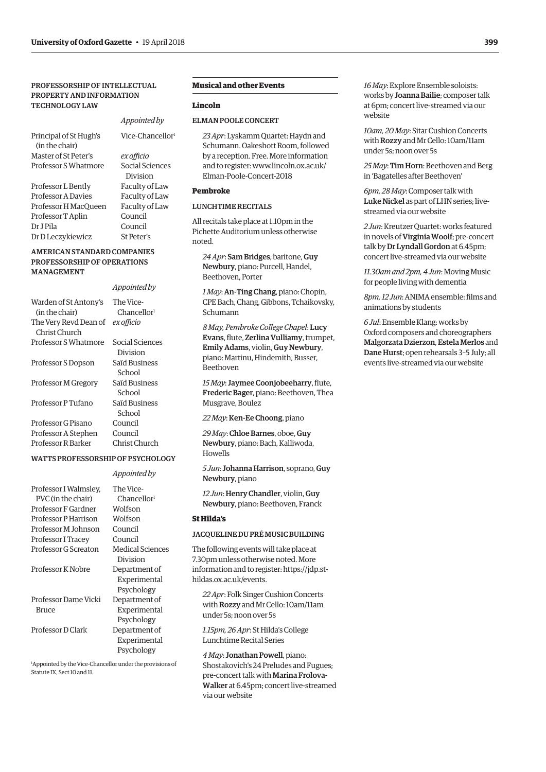# PROFESSORSHIP OF INTELLECTUAL PROPERTY AND INFORMATION TECHNOLOGY LAW

| Principal of St Hugh's |                | Vice-Chancellor <sup>1</sup> |
|------------------------|----------------|------------------------------|
| (in the chair)         |                |                              |
| Master of St Peter's   | ex officio     |                              |
| Professor S Whatmore   |                | Social Sciences              |
|                        | Division       |                              |
| Professor L Bently     | Faculty of Law |                              |
| Professor A Davies     | Faculty of Law |                              |

Professor H MacQueen Faculty of Law Professor T Aplin Council Dr J Pila Council Dr D Leczykiewicz St Peter's

.<br>al Sciences zision llty of Law ulty of Law

*Appointed by*

# AMERICAN STANDARD COMPANIES PROFESSORSHIP OF OPERATIONS MANAGEMENT

#### *Appointed by*

| Warden of St Antony's<br>(in the chair)                         | The Vice-<br>Chancellor <sup>1</sup> |
|-----------------------------------------------------------------|--------------------------------------|
| The Very Revd Dean of<br>Christ Church                          | ex officio                           |
| Professor S Whatmore                                            | Social Sciences<br>Division          |
| Professor S Dopson                                              | Saïd Business<br>School              |
| Professor M Gregory                                             | Saïd Business<br>School              |
| Professor P Tufano                                              | Saïd Business<br>School              |
| Professor G Pisano<br>Professor A Stephen<br>Professor R Barker | Council<br>Council<br>Christ Church  |

# WATTS PROFESSORSHIP OF PSYCHOLOGY

*Appointed by*

|                                             | $\mu$                                |
|---------------------------------------------|--------------------------------------|
| Professor I Walmsley.<br>PVC (in the chair) | The Vice-<br>Chancellor <sup>1</sup> |
| Professor F Gardner                         | Wolfson                              |
| Professor P Harrison                        | Wolfson                              |
| Professor M Johnson                         | Council                              |
| Professor I Tracey                          | Council                              |
| Professor G Screaton                        | Medical Sciences                     |
|                                             | Division                             |
| Professor K Nobre                           | Department of                        |
|                                             | Experimental                         |
|                                             | Psychology                           |
| Professor Dame Vicki                        | Department of                        |
| Bruce                                       | Experimental                         |
|                                             | Psychology                           |
| Professor D Clark                           | Department of                        |
|                                             | Experimental                         |
|                                             | Psychology                           |

1 Appointed by the Vice-Chancellor under the provisions of Statute IX, Sect 10 and 11.

# **Musical and other Events**

## **Lincoln**

# ELMAN POOLE CONCERT

*23 Apr*: Lyskamm Quartet: Haydn and Schumann. Oakeshott Room, followed by a reception. Free. More information [and to register: www.lincoln.ox.ac.uk/](www.lincoln.ox.ac.uk/Elman-Poole-Concert-2018) Elman-Poole-Concert-2018

# **Pembroke**

# LUNCHTIME RECITALS

All recitals take place at 1.10pm in the Pichette Auditorium unless otherwise noted.

*24 Apr*: Sam Bridges, baritone, Guy Newbury, piano: Purcell, Handel, Beethoven, Porter

*1 May*: An-Ting Chang, piano: Chopin, CPE Bach, Chang, Gibbons, Tchaikovsky, Schumann

*8 May, Pembroke College Chapel*: Lucy Evans, flute, Zerlina Vulliamy, trumpet, Emily Adams, violin, Guy Newbury, piano: Martinu, Hindemith, Busser, Beethoven

*15 May*: Jaymee Coonjobeeharry, flute, Frederic Bager, piano: Beethoven, Thea Musgrave, Boulez

*22 May*: Ken-Ee Choong, piano

*29 May*: Chloe Barnes, oboe, Guy Newbury, piano: Bach, Kalliwoda, Howells

*5 Jun*: Johanna Harrison, soprano, Guy Newbury, piano

*12 Jun*: Henry Chandler, violin, Guy Newbury, piano: Beethoven, Franck

# **St Hilda's**

# JACQUELINE DU PRÉ MUSIC BUILDING

The following events will take place at 7.30pm unless otherwise noted. More [information and to register: https://jdp.st](https://jdp.st-hildas.ox.ac.uk/events)hildas.ox.ac.uk/events.

*22 Apr*: Folk Singer Cushion Concerts with Rozzy and Mr Cello: 10am/11am under 5s; noon over 5s

*1.15pm, 26 Apr*: St Hilda's College Lunchtime Recital Series

*4 May*: Jonathan Powell, piano: Shostakovich's 24 Preludes and Fugues; pre-concert talk with Marina Frolova-Walker at 6.45pm; concert live-streamed via our website

*16 May*: Explore Ensemble soloists: works by Joanna Bailie; composer talk at 6pm; concert live-streamed via our website

*10am, 20 May*: Sitar Cushion Concerts with Rozzy and Mr Cello: 10am/11am under 5s; noon over 5s

*25 May*: Tim Horn: Beethoven and Berg in 'Bagatelles after Beethoven'

*6pm, 28 May*: Composer talk with Luke Nickel as part of LHN series; livestreamed via our website

*2 Jun*: Kreutzer Quartet: works featured in novels of Virginia Woolf; pre-concert talk by Dr Lyndall Gordon at 6.45pm; concert live-streamed via our website

*11.30am and 2pm, 4 Jun*: Moving Music for people living with dementia

*8pm, 12 Jun*: ANIMA ensemble: films and animations by students

*6 Jul*: Ensemble Klang: works by Oxford composers and choreographers Malgorzata Dzierzon, Estela Merlos and Dane Hurst; open rehearsals 3–5 July; all events live-streamed via our website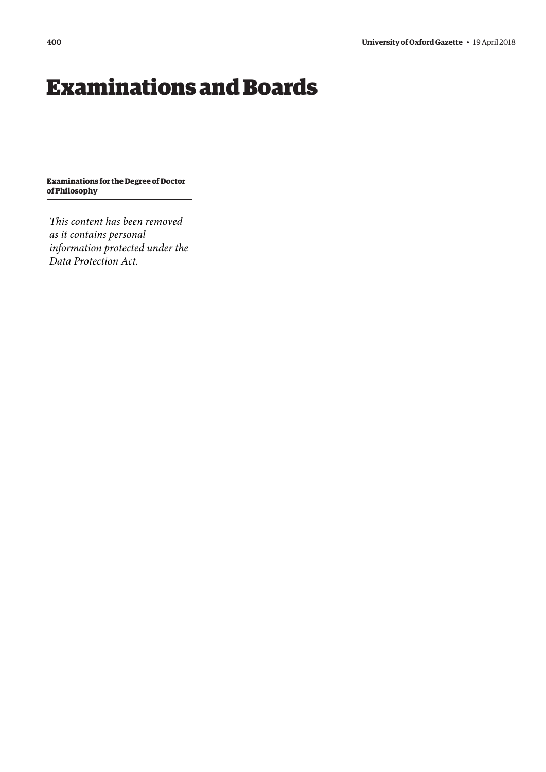# <span id="page-7-0"></span>Examinations and Boards

**Examinations for the Degree of Doctor of Philosophy**

*This content has been removed as it contains personal information protected under the Data Protection Act.*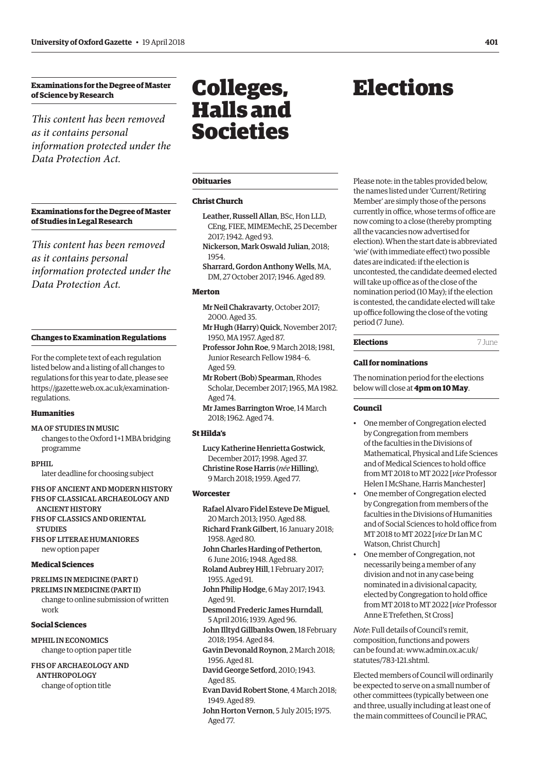# <span id="page-8-0"></span>**Examinations for the Degree of Master of Science by Research**

*This content has been removed as it contains personal information protected under the Data Protection Act.*

**Examinations for the Degree of Master of Studies in Legal Research**

*This content has been removed as it contains personal information protected under the Data Protection Act.*

# **Changes to Examination Regulations**

For the complete text of each regulation listed below and a listing of all changes to regulations for this year to date, please see [https://gazette.web.ox.ac.uk/examination](https://gazette.web.ox.ac.uk/examination-regulations)regulations.

# **Humanities**

#### MA OF STUDIES IN MUSIC

changes to the Oxford 1+1 MBA bridging programme

#### BPHIL

later deadline for choosing subject

FHS OF ANCIENT AND MODERN HISTORY FHS OF CLASSICAL ARCHAEOLOGY AND ANCIENT HISTORY FHS OF CLASSICS AND ORIENTAL

**STUDIES** FHS OF LITERAE HUMANIORES

new option paper

#### **Medical Sciences**

PRELIMS IN MEDICINE (PART I)

PRELIMS IN MEDICINE (PART II) change to online submission of written work

#### **Social Sciences**

MPHIL IN ECONOMICS change to option paper title

FHS OF ARCHAEOLOGY AND ANTHROPOLOGY change of option title

# Colleges, Halls and Societies

#### **Obituaries**

# **Christ Church**

- Leather, Russell Allan, BSc, Hon LLD, CEng, FIEE, MIMEMechE, 25 December 2017; 1942. Aged 93.
- Nickerson, Mark Oswald Julian, 2018; 1954.
- Sharrard, Gordon Anthony Wells, MA, DM, 27 October 2017; 1946. Aged 89.

#### **Merton**

- Mr Neil Chakravarty, October 2017; 2000. Aged 35.
- Mr Hugh (Harry) Quick, November 2017; 1950, MA 1957. Aged 87.
- Professor John Roe, 9 March 2018; 1981, Junior Research Fellow 1984–6. Aged 59.
- Mr Robert (Bob) Spearman, Rhodes Scholar, December 2017; 1965, MA 1982. Aged 74.
- Mr James Barrington Wroe, 14 March 2018; 1962. Aged 74.

# **St Hilda's**

Lucy Katherine Henrietta Gostwick, December 2017; 1998. Aged 37. Christine Rose Harris (*née* Hilling), 9 March 2018; 1959. Aged 77.

#### **Worcester**

- Rafael Alvaro Fidel Esteve De Miguel, 20 March 2013; 1950. Aged 88. Richard Frank Gilbert, 16 January 2018; 1958. Aged 80.
- John Charles Harding of Petherton, 6 June 2016; 1948. Aged 88.
- Roland Aubrey Hill, 1 February 2017; 1955. Aged 91.
- John Philip Hodge, 6 May 2017; 1943. Aged 91.
- Desmond Frederic James Hurndall, 5 April 2016; 1939. Aged 96.
- John Illtyd Gillbanks Owen, 18 February 2018; 1954. Aged 84.
- Gavin Devonald Roynon, 2 March 2018; 1956. Aged 81.
- David George Setford, 2010; 1943. Aged 85.
- Evan David Robert Stone, 4 March 2018; 1949. Aged 89.
- John Horton Vernon, 5 July 2015; 1975. Aged 77.

# Elections

Please note: in the tables provided below, the names listed under 'Current/Retiring Member' are simply those of the persons currently in office, whose terms of office are now coming to a close (thereby prompting all the vacancies now advertised for election). When the start date is abbreviated 'wie' (with immediate effect) two possible dates are indicated: if the election is uncontested, the candidate deemed elected will take up office as of the close of the nomination period (10 May); if the election is contested, the candidate elected will take up office following the close of the voting period (7 June).

# **Elections** 7 June

# **Call for nominations**

The nomination period for the elections below will close at **4pm on 10 May**.

#### **Council**

- One member of Congregation elected by Congregation from members of the faculties in the Divisions of Mathematical, Physical and Life Sciences and of Medical Sciences to hold office from MT 2018 to MT 2022 [*vice* Professor Helen I McShane, Harris Manchester]
- One member of Congregation elected by Congregation from members of the faculties in the Divisions of Humanities and of Social Sciences to hold office from MT 2018 to MT 2022 [*vice* Dr Ian M C Watson, Christ Church]
- One member of Congregation, not necessarily being a member of any division and not in any case being nominated in a divisional capacity, elected by Congregation to hold office from MT 2018 to MT 2022 [*vice* Professor Anne E Trefethen, St Cross]

*Note*: Full details of Council's remit, composition, functions and powers [can be found at: www.admin.ox.ac.uk/](www.admin.ox.ac.uk/statutes/783-121.shtml) statutes/783-121.shtml.

Elected members of Council will ordinarily be expected to serve on a small number of other committees (typically between one and three, usually including at least one of the main committees of Council ie PRAC,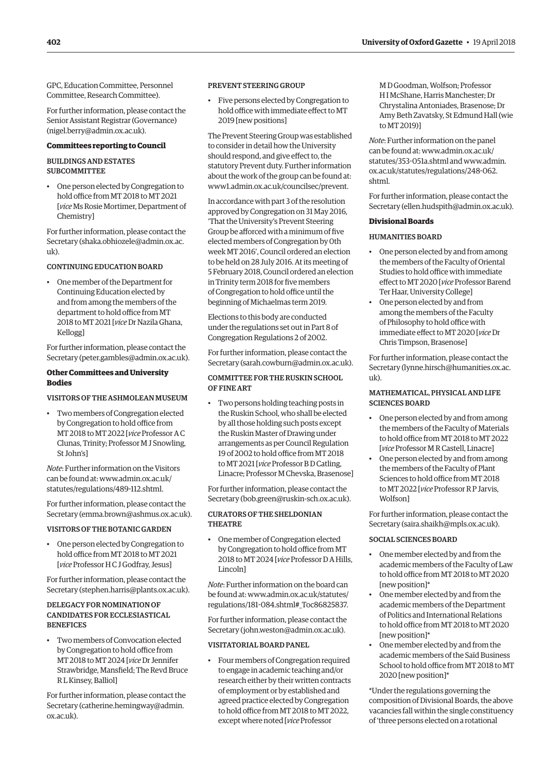GPC, Education Committee, Personnel Committee, Research Committee).

For further information, please contact the Senior Assistant Registrar (Governance) ([nigel.berry@admin.ox.ac.uk\).](mailto:nigel.berry@admin.ox.ac.uk)

# **Committees reporting to Council**

# BUILDINGS AND ESTATES **SUBCOMMITTEE**

• One person elected by Congregation to hold office from MT 2018 to MT 2021 [*vice* Ms Rosie Mortimer, Department of Chemistry]

For further information, please contact the Secretary [\(shaka.obhiozele@admin.ox.ac.](mailto:shaka.obhiozele@admin.ox.ac.uk) [uk\).](mailto:shaka.obhiozele@admin.ox.ac.uk)

# CONTINUING EDUCATION BOARD

• One member of the Department for Continuing Education elected by and from among the members of the department to hold office from MT 2018 to MT 2021 [*vice* Dr Nazila Ghana, Kellogg]

For further information, please contact the Secretary [\(peter.gambles@admin.ox.ac.uk\).](mailto:peter.gambles@admin.ox.ac.uk)

# **Other Committees and University Bodies**

# VISITORS OF THE ASHMOLEAN MUSEUM

• Two members of Congregation elected by Congregation to hold office from MT 2018 to MT 2022 [*vice* Professor A C Clunas, Trinity; Professor M J Snowling, St John's]

*Note*: Further information on the Visitors [can be found at: www.admin.ox.ac.uk/](www.admin.ox.ac.uk/statutes/regulations/489-112.shtml) statutes/regulations/489-112.shtml.

For further information, please contact the Secretary [\(emma.brown@ashmus.ox.ac.uk\).](mailto:emma.brown@ashmus.ox.ac.uk)

# VISITORS OF THE BOTANIC GARDEN

• One person elected by Congregation to hold office from MT 2018 to MT 2021 [*vice* Professor H C J Godfray, Jesus]

For further information, please contact the Secretary [\(stephen.harris@plants.ox.ac.uk\).](mailto:stephen.harris@plants.ox.ac.uk)

# DELEGACY FOR NOMINATION OF CANDIDATES FOR ECCLESIASTICAL **BENEFICES**

• Two members of Convocation elected by Congregation to hold office from MT 2018 to MT 2024 [*vice* Dr Jennifer Strawbridge, Mansfield; The Revd Bruce R L Kinsey, Balliol]

For further information, please contact the Secretary [\(catherine.hemingway@admin.](mailto:catherine.hemingway@admin.ox.ac.uk) [ox.ac.uk\).](mailto:catherine.hemingway@admin.ox.ac.uk)

# PREVENT STEERING GROUP

• Five persons elected by Congregation to hold office with immediate effect to MT 2019 [new positions]

The Prevent Steering Group was established to consider in detail how the University should respond, and give effect to, the statutory Prevent duty. Further information about the work of the group can be found at: www1.admin.ox.ac.uk/councilsec/prevent.

In accordance with part 3 of the resolution approved by Congregation on 31 May 2016, 'That the University's Prevent Steering Group be afforced with a minimum of five elected members of Congregation by 0th week MT 2016', Council ordered an election to be held on 28 July 2016. At its meeting of 5 February 2018, Council ordered an election in Trinity term 2018 for five members of Congregation to hold office until the beginning of Michaelmas term 2019.

Elections to this body are conducted under the regulations set out in Part 8 of Congregation Regulations 2 of 2002.

For further information, please contact the Secretary ([sarah.cowburn@admin.ox.ac.uk\).](mailto:sarah.cowburn@admin.ox.ac.uk)

# COMMITTEE FOR THE RUSKIN SCHOOL OF FINE ART

• Two persons holding teaching posts in the Ruskin School, who shall be elected by all those holding such posts except the Ruskin Master of Drawing under arrangements as per Council Regulation 19 of 2002 to hold office from MT 2018 to MT 2021 [*vice* Professor B D Catling, Linacre; Professor M Chevska, Brasenose]

For further information, please contact the Secretary ([bob.green@ruskin-sch.ox.ac.uk\).](mailto:bob.green@ruskin-sch.ox.ac.uk)

# CURATORS OF THE SHELDONIAN **THEATRE**

• One member of Congregation elected by Congregation to hold office from MT 2018 to MT 2024 [*vice* Professor D A Hills, Lincoln]

*Note*: Further information on the board can [be found at: www.admin.ox.ac.uk/statutes/](www.admin.ox.ac.uk/statutes/regulations/181-084.shtml#_Toc86825837) regulations/181-084.shtml#\_Toc86825837.

For further information, please contact the Secretary ([john.weston@admin.ox.ac.uk\).](mailto:john.weston@admin.ox.ac.uk)

## VISITATORIAL BOARD PANEL

• Four members of Congregation required to engage in academic teaching and/or research either by their written contracts of employment or by established and agreed practice elected by Congregation to hold office from MT 2018 to MT 2022, except where noted [*vice* Professor

M D Goodman, Wolfson; Professor H I McShane, Harris Manchester; Dr Chrystalina Antoniades, Brasenose; Dr Amy Beth Zavatsky, St Edmund Hall (wie to MT 2019)]

*Note*: Further information on the panel can be foun[d at: www.admin.ox.ac.uk/](www.admin.ox.ac.uk/statutes/353-051a.shtml) statutes/353-051a.shtml an[d www.admin.](www.admin.ox.ac.uk/statutes/regulations/248-062.shtml) ox.ac.uk/statutes/regulations/248-062. shtml.

For further information, please contact the Secretary ([ellen.hudspith@admin.ox.ac.uk\).](mailto:ellen.hudspith@admin.ox.ac.uk)

# **Divisional Boards**

# HUMANITIES BOARD

- One person elected by and from among the members of the Faculty of Oriental Studies to hold office with immediate effect to MT 2020 [*vice* Professor Barend Ter Haar, University College]
- One person elected by and from among the members of the Faculty of Philosophy to hold office with immediate effect to MT 2020 [*vice* Dr Chris Timpson, Brasenose]

For further information, please contact the Secretary ([lynne.hirsch@humanities.ox.ac.](mailto:lynne.hirsch@humanities.ox.ac.uk) [uk\).](mailto:lynne.hirsch@humanities.ox.ac.uk)

# MATHEMATICAL, PHYSICAL AND LIFE SCIENCES BOARD

- One person elected by and from among the members of the Faculty of Materials to hold office from MT 2018 to MT 2022 [*vice* Professor M R Castell, Linacre]
- One person elected by and from among the members of the Faculty of Plant Sciences to hold office from MT 2018 to MT 2022 [*vice* Professor R P Jarvis, Wolfson]

For further information, please contact the Secretary ([saira.shaikh@mpls.ox.ac.uk\).](mailto:saira.shaikh@mpls.ox.ac.uk)

# SOCIAL SCIENCES BOARD

- One member elected by and from the academic members of the Faculty of Law to hold office from MT 2018 to MT 2020 [new position]\*
- One member elected by and from the academic members of the Department of Politics and International Relations to hold office from MT 2018 to MT 2020 [new position]\*
- One member elected by and from the academic members of the Saïd Business School to hold office from MT 2018 to MT 2020 [new position]\*

\*Under the regulations governing the composition of Divisional Boards, the above vacancies fall within the single constituency of 'three persons elected on a rotational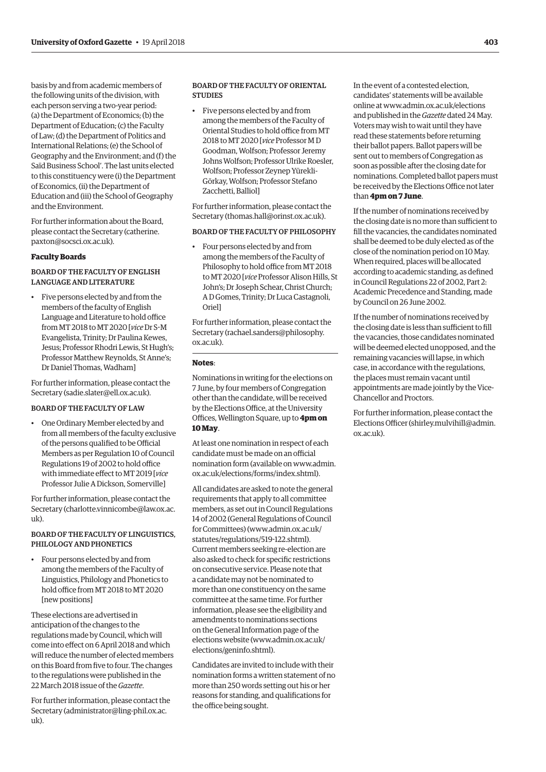basis by and from academic members of the following units of the division, with each person serving a two-year period: (a) the Department of Economics; (b) the Department of Education; (c) the Faculty of Law; (d) the Department of Politics and International Relations; (e) the School of Geography and the Environment; and (f) the Saïd Business School'. The last units elected to this constituency were (i) the Department of Economics, (ii) the Department of Education and (iii) the School of Geography and the Environment.

For further information about the Board, [please contact the Secretary \(catherine.](mailto:catherine.paxton@socsci.ox.ac.uk) paxton@socsci.ox.ac.uk).

# **Faculty Boards**

# BOARD OF THE FACULTY OF ENGLISH LANGUAGE AND LITERATURE

• Five persons elected by and from the members of the faculty of English Language and Literature to hold office from MT 2018 to MT 2020 [*vice* Dr S-M Evangelista, Trinity; Dr Paulina Kewes, Jesus; Professor Rhodri Lewis, St Hugh's; Professor Matthew Reynolds, St Anne's; Dr Daniel Thomas, Wadham]

For further information, please contact the Secretary [\(sadie.slater@ell.ox.ac.uk\).](mailto:sadie.slater@ell.ox.ac.uk)

# BOARD OF THE FACULTY OF LAW

• One Ordinary Member elected by and from all members of the faculty exclusive of the persons qualified to be Official Members as per Regulation 10 of Council Regulations 19 of 2002 to hold office with immediate effect to MT 2019 [*vice* Professor Julie A Dickson, Somerville]

For further information, please contact the Secretary [\(charlotte.vinnicombe@law.ox.ac.](mailto:charlotte.vinnicombe@law.ox.ac.uk)  $11k$ 

# BOARD OF THE FACULTY OF LINGUISTICS, PHILOLOGY AND PHONETICS

• Four persons elected by and from among the members of the Faculty of Linguistics, Philology and Phonetics to hold office from MT 2018 to MT 2020 [new positions]

These elections are advertised in anticipation of the changes to the regulations made by Council, which will come into effect on 6 April 2018 and which will reduce the number of elected members on this Board from five to four. The changes to the regulations were published in the 22 March 2018 issue of the *Gazette*.

For further information, please contact the Secretary [\(administrator@ling-phil.ox.ac.](mailto:administrator@ling-phil.ox.ac.uk) [uk\).](mailto:administrator@ling-phil.ox.ac.uk) 

# BOARD OF THE FACULTY OF ORIENTAL **STUDIES**

• Five persons elected by and from among the members of the Faculty of Oriental Studies to hold office from MT 2018 to MT 2020 [*vice* Professor M D Goodman, Wolfson; Professor Jeremy Johns Wolfson; Professor Ulrike Roesler, Wolfson; Professor Zeynep Yürekli-Görkay, Wolfson; Professor Stefano Zacchetti, Balliol]

For further information, please contact the Secretary ([thomas.hall@orinst.ox.ac.uk\).](mailto:thomas.hall@orinst.ox.ac.uk)

# BOARD OF THE FACULTY OF PHILOSOPHY

• Four persons elected by and from among the members of the Faculty of Philosophy to hold office from MT 2018 to MT 2020 [*vice* Professor Alison Hills, St John's; Dr Joseph Schear, Christ Church; A D Gomes, Trinity; Dr Luca Castagnoli, Oriel]

For further information, please contact the Secretary ([rachael.sanders@philosophy.](mailto:rachael.sanders@philosophy.ox.ac.uk) [ox.ac.uk\).](mailto:rachael.sanders@philosophy.ox.ac.uk)

## **Notes**:

Nominations in writing for the elections on 7 June, by four members of Congregation other than the candidate, will be received by the Elections Office, at the University Offices, Wellington Square, up to **4pm on 10 May**.

At least one nomination in respect of each candidate must be made on an official [nomination form \(available on www.admin.](www.admin.ox.ac.uk/elections/forms/index.shtml) ox.ac.uk/elections/forms/index.shtml).

All candidates are asked to note the general requirements that apply to all committee members, as set out in Council Regulations 14 of 2002 (General Regulations of Council for Committees) [\(www.admin.ox.ac.uk/](http://www.admin.ox.ac.uk/statutes/regulations/519-122.shtml) [statutes/regulations/519-122.shtml\).](http://www.admin.ox.ac.uk/statutes/regulations/519-122.shtml)  Current members seeking re-election are also asked to check for specific restrictions on consecutive service. Please note that a candidate may not be nominated to more than one constituency on the same committee at the same time. For further information, please see the eligibility and amendments to nominations sections on the General Information page of the elections website ([www.admin.ox.ac.uk/](http://www.admin.ox.ac.uk/elections/geninfo.shtml) [elections/geninfo.shtml\).](http://www.admin.ox.ac.uk/elections/geninfo.shtml)

Candidates are invited to include with their nomination forms a written statement of no more than 250 words setting out his or her reasons for standing, and qualifications for the office being sought.

In the event of a contested election, candidates' statements will be available online at [www.admin.ox.ac.uk/elections](http://www.admin.ox.ac.uk/elections)  and published in the *Gazette* dated 24 May. Voters may wish to wait until they have read these statements before returning their ballot papers. Ballot papers will be sent out to members of Congregation as soon as possible after the closing date for nominations. Completed ballot papers must be received by the Elections Office not later than **4pm on 7 June**.

If the number of nominations received by the closing date is no more than sufficient to fill the vacancies, the candidates nominated shall be deemed to be duly elected as of the close of the nomination period on 10 May. When required, places will be allocated according to academic standing, as defined in Council Regulations 22 of 2002, Part 2: Academic Precedence and Standing, made by Council on 26 June 2002.

If the number of nominations received by the closing date is less than sufficient to fill the vacancies, those candidates nominated will be deemed elected unopposed, and the remaining vacancies will lapse, in which case, in accordance with the regulations, the places must remain vacant until appointments are made jointly by the Vice-Chancellor and Proctors.

For further information, please contact the Elections Officer [\(shirley.mulvihill@admin.](mailto:shirley.mulvihill@admin.ox.ac.uk) [ox.ac.uk\).](mailto:shirley.mulvihill@admin.ox.ac.uk)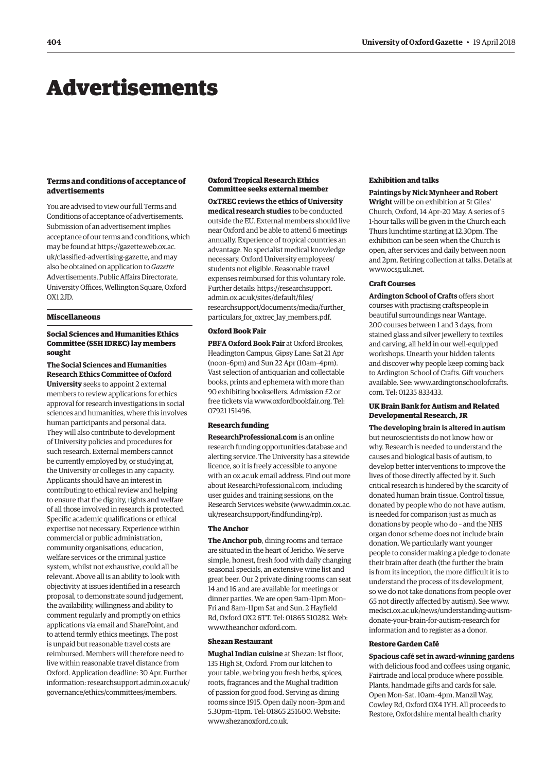# <span id="page-11-0"></span>Advertisements

# **Terms and conditions of acceptance of advertisements**

You are advised to view our full Terms and Conditions of acceptance of advertisements. Submission of an advertisement implies acceptance of our terms and conditions, which may be found at https://gazette.web.ox.ac. [uk/classified-advertising-gazette, and may](https://gazette.web.ox.ac.uk/classified-advertising-gazette)  also be obtained on application to *Gazette* Advertisements, Public Affairs Directorate, University Offices, Wellington Square, Oxford  $OX12ID$ 

# **Miscellaneous**

# **Social Sciences and Humanities Ethics Committee (SSH IDREC) lay members sought**

**The Social Sciences and Humanities Research Ethics Committee of Oxford University** seeks to appoint 2 external members to review applications for ethics approval for research investigations in social sciences and humanities, where this involves human participants and personal data. They will also contribute to development of University policies and procedures for such research. External members cannot be currently employed by, or studying at, the University or colleges in any capacity. Applicants should have an interest in contributing to ethical review and helping to ensure that the dignity, rights and welfare of all those involved in research is protected. Specific academic qualifications or ethical expertise not necessary. Experience within commercial or public administration, community organisations, education, welfare services or the criminal justice system, whilst not exhaustive, could all be relevant. Above all is an ability to look with objectivity at issues identified in a research proposal, to demonstrate sound judgement, the availability, willingness and ability to comment regularly and promptly on ethics applications via email and SharePoint, and to attend termly ethics meetings. The post is unpaid but reasonable travel costs are reimbursed. Members will therefore need to live within reasonable travel distance from Oxford. Application deadline: 30 Apr. Further [information: researchsupport.admin.ox.ac.uk/](https://researchsupport.admin.ox.ac.uk/governance/ethics/committees/members) governance/ethics/committees/members.

# **Oxford Tropical Research Ethics Committee seeks external member**

**OxTREC reviews the ethics of University medical research studies** to be conducted outside the EU. External members should live near Oxford and be able to attend 6 meetings annually. Experience of tropical countries an advantage. No specialist medical knowledge necessary. Oxford University employees/ students not eligible. Reasonable travel expenses reimbursed for this voluntary role. Further details: https://researchsupport. admin.ox.ac.uk/sites/default/files/ [researchsupport/documents/media/further\\_](https://researchsupport.admin.ox.ac.uk/sites/default/files/researchsupport/documents/media/further_particulars_for_oxtrec_lay_members.pdf) particulars for oxtrec lay members.pdf.

# **Oxford Book Fair**

**PBFA Oxford Book Fair** at Oxford Brookes, Headington Campus, Gipsy Lane: Sat 21 Apr (noon–6pm) and Sun 22 Apr (10am–4pm). Vast selection of antiquarian and collectable books, prints and ephemera with more than 90 exhibiting booksellers. Admission £2 or free tickets via [www.oxfordbookfair.org. Te](http://www.oxfordbookfair.org)l: 07921 151496.

# **Research funding**

**ResearchProfessional.com** is an online research funding opportunities database and alerting service. The University has a sitewide licence, so it is freely accessible to anyone with an ox.ac.uk email address. Find out more about ResearchProfessional.com, including user guides and training sessions, on the Research Services website ([www.admin.ox.ac.](http://www.admin.ox.ac.uk/researchsupport/findfunding/rp) [uk/researchsupport/findfunding/rp\).](http://www.admin.ox.ac.uk/researchsupport/findfunding/rp) 

## **The Anchor**

**The Anchor pub**, dining rooms and terrace are situated in the heart of Jericho. We serve simple, honest, fresh food with daily changing seasonal specials, an extensive wine list and great beer. Our 2 private dining rooms can seat 14 and 16 and are available for meetings or dinner parties. We are open 9am–11pm Mon– Fri and 8am–11pm Sat and Sun. 2 Hayfield Rd, Oxford OX2 6TT. Tel: 01865 510282. Web: [www.theanchor ox](http://www.theanchor)ford.com.

# **Shezan Restaurant**

**Mughal Indian cuisine** at Shezan: 1st floor, 135 High St, Oxford. From our kitchen to your table, we bring you fresh herbs, spices, roots, fragrances and the Mughal tradition of passion for good food. Serving as dining rooms since 1915. Open daily noon–3pm and 5.30pm–11pm. Tel: 01865 251600. Website: [www.shezanoxford.co.uk.](http://www.shezanoxford.co.uk)

# **Exhibition and talks**

**Paintings by Nick Mynheer and Robert Wright** will be on exhibition at St Giles' Church, Oxford, 14 Apr–20 May. A series of 5 1-hour talks will be given in the Church each Thurs lunchtime starting at 12.30pm. The exhibition can be seen when the Church is

open, after services and daily between noon and 2pm. Retiring collection at talks. Details at [www.ocsg.uk.net.](http://www.ocsg.uk.net)

# **Craft Courses**

**Ardington School of Crafts** offers short courses with practising craftspeople in beautiful surroundings near Wantage. 200 courses between 1 and 3 days, from stained glass and silver jewellery to textiles and carving, all held in our well-equipped workshops. Unearth your hidden talents and discover why people keep coming back to Ardington School of Crafts. Gift vouchers [available. See: www.ardingtonschoolofcrafts.](www.ardingtonschoolofcrafts.com) com. Tel: 01235 833433.

# **UK Brain Bank for Autism and Related Developmental Research, JR**

**The developing brain is altered in autism** but neuroscientists do not know how or why. Research is needed to understand the causes and biological basis of autism, to develop better interventions to improve the lives of those directly affected by it. Such critical research is hindered by the scarcity of donated human brain tissue. Control tissue, donated by people who do not have autism, is needed for comparison just as much as donations by people who do – and the NHS organ donor scheme does not include brain donation. We particularly want younger people to consider making a pledge to donate their brain after death (the further the brain is from its inception, the more difficult it is to understand the process of its development, so we do not take donations from people over 65 not directly affected by autism). See www. [medsci.ox.ac.uk/news/understanding-autism](www.medsci.ox.ac.uk/news/understanding-autism-donate-your-brain-for-autism-research)donate-your-brain-for-autism-research for information and to register as a donor.

## **Restore Garden Café**

**Spacious café set in award-winning gardens** with delicious food and coffees using organic, Fairtrade and local produce where possible. Plants, handmade gifts and cards for sale. Open Mon–Sat, 10am–4pm, Manzil Way, Cowley Rd, Oxford OX4 1YH. All proceeds to Restore, Oxfordshire mental health charity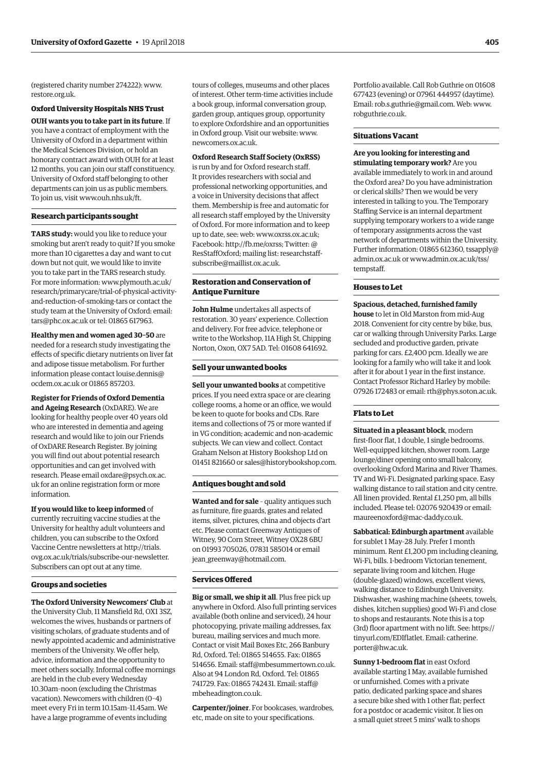(registered charity number 274222): [www.](http://www.restore.org.uk) [restore.org.uk.](http://www.restore.org.uk)

#### **Oxford University Hospitals NHS Trust**

**OUH wants you to take part in its future**. If you have a contract of employment with the University of Oxford in a department within the Medical Sciences Division, or hold an honorary contract award with OUH for at least 12 months, you can join our staff constituency. University of Oxford staff belonging to other departments can join us as public members. To join us, visit [www.ouh.nhs.uk/ft.](http://www.ouh.nhs.uk/ft)

# **Research participants sought**

**TARS study:** would you like to reduce your smoking but aren't ready to quit? If you smoke more than 10 cigarettes a day and want to cut down but not quit, we would like to invite you to take part in the TARS research study. For more information: www.plymouth.ac.uk/ [research/primarycare/trial-of-physical-activity](www.plymouth.ac.uk/research/primarycare/trial-of-physical-activity-and-reduction-of-smoking-tars)and-reduction-of-smoking-tars or contact the study team at the University of Oxford: email: [tars@phc.ox.ac.uk or](mailto:tars@phc.ox.ac.uk) tel: 01865 617963.

**Healthy men and women aged 30–50** are needed for a research study investigating the effects of specific dietary nutrients on liver fat and adipose tissue metabolism. For further [information please contact louise.dennis@](mailto:dennis@ocdem.ox.ac.uk) ocdem.ox.ac.uk or 01865 857203.

**Register for Friends of Oxford Dementia and Ageing Research** (OxDARE). We are looking for healthy people over 40 years old who are interested in dementia and ageing research and would like to join our Friends of OxDARE Research Register. By joining you will find out about potential research opportunities and can get involved with [research. Please email oxdare@psych.ox.ac.](mailto:oxdare@psych.ox.ac.uk) uk for an online registration form or more information.

**If you would like to keep informed** of currently recruiting vaccine studies at the University for healthy adult volunteers and children, you can subscribe to the Oxford Vaccine Centre newsletters at http://trials. [ovg.ox.ac.uk/trials/subscribe-our-newsletter.](https://trials.ovg.ox.ac.uk/trials/subscribe-our-newsletter)  Subscribers can opt out at any time.

#### **Groups and societies**

**The Oxford University Newcomers' Club** at the University Club, 11 Mansfield Rd, OX1 3SZ, welcomes the wives, husbands or partners of visiting scholars, of graduate students and of newly appointed academic and administrative members of the University. We offer help, advice, information and the opportunity to meet others socially. Informal coffee mornings are held in the club every Wednesday 10.30am–noon (excluding the Christmas vacation). Newcomers with children (0–4) meet every Fri in term 10.15am–11.45am. We have a large programme of events including

tours of colleges, museums and other places of interest. Other term-time activities include a book group, informal conversation group, garden group, antiques group, opportunity to explore Oxfordshire and an opportunities in Oxford group. Visit our website: [www.](http://www.newcomers.ox.ac.uk) [newcomers.ox.ac.uk.](http://www.newcomers.ox.ac.uk) 

# **Oxford Research Staff Society (OxRSS)**

is run by and for Oxford research staff. It provides researchers with social and professional networking opportunities, and a voice in University decisions that affect them. Membership is free and automatic for all research staff employed by the University of Oxford. For more information and to keep up to date, see: web: [www.oxrss.ox.ac.uk;](http://www.oxrss.ox.ac.uk)  Facebook: [http://fb.me/oxrss; Tw](http://fb.me/oxrss)itter: @ ResStaffOxford[; mailing list: researchstaff](mailto:researchstaff-subscribe@maillist.ox.ac.uk)subscribe@maillist.ox.ac.uk.

# **Restoration and Conservation of Antique Furniture**

**John Hulme** undertakes all aspects of restoration. 30 years' experience. Collection and delivery. For free advice, telephone or write to the Workshop, 11A High St, Chipping Norton, Oxon, OX7 5AD. Tel: 01608 641692.

# **Sell your unwanted books**

**Sell your unwanted books** at competitive prices. If you need extra space or are clearing college rooms, a home or an office, we would be keen to quote for books and CDs. Rare items and collections of 75 or more wanted if in VG condition; academic and non-academic subjects. We can view and collect. Contact Graham Nelson at History Bookshop Ltd on 01451 821660 or [sales@historybookshop.com.](mailto:sales@historybookshop.com)

#### **Antiques bought and sold**

**Wanted and for sale** – quality antiques such as furniture, fire guards, grates and related items, silver, pictures, china and objects d'art etc. Please contact Greenway Antiques of Witney, 90 Corn Street, Witney OX28 6BU on 01993 705026, 07831 585014 or email jean greenway@hotmail.com.

# **Services Offered**

**Big or small, we ship it all**. Plus free pick up anywhere in Oxford. Also full printing services available (both online and serviced), 24 hour photocopying, private mailing addresses, fax bureau, mailing services and much more. Contact or visit Mail Boxes Etc, 266 Banbury Rd, Oxford. Tel: 01865 514655. Fax: 01865 514656. Email: [staff@mbesummertown.co.uk.](mailto:staff@mbesummertown.co.uk)  Also at 94 London Rd, Oxford. Tel: 01865 [741729. Fax: 01865 742431. Email: staff@](mailto:staff@mbeheadington.co.uk) mbeheadington.co.uk.

**Carpenter/joiner**. For bookcases, wardrobes, etc, made on site to your specifications.

Portfolio available. Call Rob Guthrie on 01608 677423 (evening) or 07961 444957 (daytime). Email: [rob.s.guthrie@gmail.com. W](mailto:rob.s.guthrie@gmail.com)eb: [www.](http://www.robguthrie.co.uk) [robguthrie.co.uk.](http://www.robguthrie.co.uk)

#### **Situations Vacant**

**Are you looking for interesting and stimulating temporary work?** Are you available immediately to work in and around the Oxford area? Do you have administration or clerical skills? Then we would be very interested in talking to you. The Temporary Staffing Service is an internal department supplying temporary workers to a wide range of temporary assignments across the vast network of departments within the University. Further information: 01865 61[2360, tssapply@](mailto:tssapply@admin.ox.ac.uk) admin.ox.ac.uk o[r www.admin.ox.ac.uk/tss/](www.admin.ox.ac.uk/tss/tempstaff)

#### **Houses to Let**

tempstaff.

**Spacious, detached, furnished family house** to let in Old Marston from mid-Aug 2018. Convenient for city centre by bike, bus, car or walking through University Parks. Large secluded and productive garden, private parking for cars. £2,400 pcm. Ideally we are looking for a family who will take it and look after it for about 1 year in the first instance. Contact Professor Richard Harley by mobile: 07926 172483 or email: [rth@phys.soton.ac.uk.](mailto:rth@phys.soton.ac.uk)

# **Flats to Let**

**Situated in a pleasant block**, modern first-floor flat, 1 double, 1 single bedrooms. Well-equipped kitchen, shower room. Large lounge/diner opening onto small balcony, overlooking Oxford Marina and River Thames. TV and Wi-Fi. Designated parking space. Easy walking distance to rail station and city centre. All linen provided. Rental £1,250 pm, all bills included. Please tel: 02076 920439 or email: [maureenoxford@mac-daddy.co.uk.](mailto:maureenoxford@mac-daddy.co.uk)

**Sabbatical: Edinburgh apartment** available for sublet 1 May–28 July. Prefer 1 month minimum. Rent £1,200 pm including cleaning, Wi-Fi, bills. 1-bedroom Victorian tenement, separate living room and kitchen. Huge (double-glazed) windows, excellent views, walking distance to Edinburgh University. Dishwasher, washing machine (sheets, towels, dishes, kitchen supplies) good Wi-Fi and close to shops and restaurants. Note this is a top (3rd) floor apartment with no lift. See: [https://](https://tinyurl.com/EDIflatlet) [tinyurl.com/EDIflatlet. Em](https://tinyurl.com/EDIflatlet)ail: catherine. [porter@hw.ac.uk.](mailto:porter@hw.ac.uk)

**Sunny 1-bedroom flat** in east Oxford available starting 1 May, available furnished or unfurnished. Comes with a private patio, dedicated parking space and shares a secure bike shed with 1 other flat; perfect for a postdoc or academic visitor. It lies on a small quiet street 5 mins' walk to shops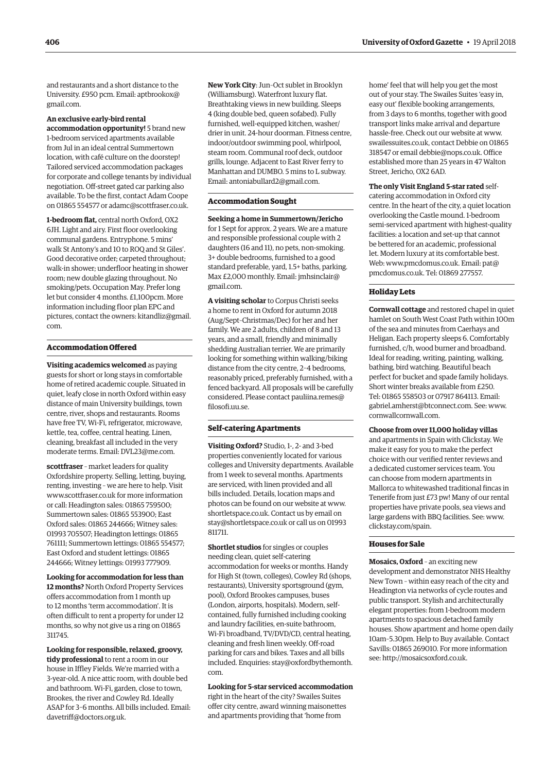and restaurants and a short distance to the [University. £950 pcm. Email: aptbrookox@](mailto:aaptbrookox@gmail.com) gmail.com.

#### **An exclusive early-bird rental**

**accommodation opportunity!** 5 brand new 1-bedroom serviced apartments available from Jul in an ideal central Summertown location, with café culture on the doorstep! Tailored serviced accommodation packages for corporate and college tenants by individual negotiation. Off-street gated car parking also available. To be the first, contact Adam Coope on 01865 554577 or [adamc@scottfraser.co.uk.](mailto:adamc@scottfraser.co.uk)

**1-bedroom flat,** central north Oxford, OX2 6JH. Light and airy. First floor overlooking communal gardens. Entryphone. 5 mins' walk St Antony's and 10 to ROQ and St Giles'. Good decorative order; carpeted throughout; walk-in shower; underfloor heating in shower room; new double glazing throughout. No smoking/pets. Occupation May. Prefer long let but consider 4 months. £1,100pcm. More information including floor plan EPC and [pictures, contact the owners: kitandliz@gmail.](mailto:kitandliz@gmail.com) com.

# **Accommodation Offered**

**Visiting academics welcomed** as paying guests for short or long stays in comfortable home of retired academic couple. Situated in quiet, leafy close in north Oxford within easy distance of main University buildings, town centre, river, shops and restaurants. Rooms have free TV, Wi-Fi, refrigerator, microwave, kettle, tea, coffee, central heating. Linen, cleaning, breakfast all included in the very moderate terms. Email: [DVL23@me.com.](mailto:DVL23@me.com)

**scottfraser** - market leaders for quality Oxfordshire property. Selling, letting, buying, renting, investing – we are here to help. Visit [www.scottfraser.co.uk fo](http://www.scottfraser.co.uk)r more information or call: Headington sales: 01865 759500; Summertown sales: 01865 553900; East Oxford sales: 01865 244666; Witney sales: 01993 705507; Headington lettings: 01865 761111; Summertown lettings: 01865 554577; East Oxford and student lettings: 01865 244666; Witney lettings: 01993 777909.

**Looking for accommodation for less than 12 months?** North Oxford Property Services offers accommodation from 1 month up to 12 months 'term accommodation'. It is often difficult to rent a property for under 12 months, so why not give us a ring on 01865 311745.

**Looking for responsible, relaxed, groovy, tidy professional** to rent a room in our house in Iffley Fields. We're married with a 3-year-old. A nice attic room, with double bed and bathroom. Wi-Fi, garden, close to town, Brookes, the river and Cowley Rd. Ideally ASAP for 3–6 months. All bills included. Email: [davetriff@doctors.org.uk.](mailto:davetriff@doctors.org.uk)

**New York City**: Jun–Oct sublet in Brooklyn (Williamsburg). Waterfront luxury flat. Breathtaking views in new building. Sleeps 4 (king double bed, queen sofabed). Fully furnished, well-equipped kitchen, washer/ drier in unit. 24-hour doorman. Fitness centre, indoor/outdoor swimming pool, whirlpool, steam room. Communal roof deck, outdoor grills, lounge. Adjacent to East River ferry to Manhattan and DUMBO. 5 mins to L subway. Email: [antoniabullard2@gmail.com.](mailto:antoniabullard2@gmail.com)

#### **Accommodation Sought**

**Seeking a home in Summertown/Jericho** for 1 Sept for approx. 2 years. We are a mature and responsible professional couple with 2 daughters (16 and 11), no pets, non-smoking. 3+ double bedrooms, furnished to a good standard preferable, yard, 1.5+ baths, parking. [Max £2,000 monthly. Email: jmhsinclair@](mailto:jmhsinclair@gmail.com) gmail.com.

**A visiting scholar** to Corpus Christi seeks a home to rent in Oxford for autumn 2018 (Aug/Sept–Christmas/Dec) for her and her family. We are 2 adults, children of 8 and 13 years, and a small, friendly and minimally shedding Australian terrier. We are primarily looking for something within walking/biking distance from the city centre, 2–4 bedrooms, reasonably priced, preferably furnished, with a fenced backyard. All proposals will be carefully [considered. Please contact pauliina.remes@](mailto:pauliina.remes@filosofi.uu.se) filosofi.uu.se.

#### **Self-catering Apartments**

**Visiting Oxford?** Studio, 1-, 2- and 3-bed properties conveniently located for various colleges and University departments. Available from 1 week to several months. Apartments are serviced, with linen provided and all bills included. Details, location maps and photos can be found on our website at [www.](http://www.shortletspace.co.uk) [shortletspace.co.uk. Co](http://www.shortletspace.co.uk)ntact us by email on [stay@shortletspace.co.uk or](mailto:stay@shortletspace.co.uk) call us on 01993 811711.

**Shortlet studios** for singles or couples needing clean, quiet self-catering accommodation for weeks or months. Handy for High St (town, colleges), Cowley Rd (shops, restaurants), University sportsground (gym, pool), Oxford Brookes campuses, buses (London, airports, hospitals). Modern, selfcontained, fully furnished including cooking and laundry facilities, en-suite bathroom, Wi-Fi broadband, TV/DVD/CD, central heating, cleaning and fresh linen weekly. Off-road parking for cars and bikes. Taxes and all bills [included. Enquiries: stay@oxfordbythemonth.](mailto:stay@oxfordbythemonth.com) com.

# **Looking for 5-star serviced accommodation**

right in the heart of the city? Swailes Suites offer city centre, award winning maisonettes and apartments providing that 'home from

home' feel that will help you get the most out of your stay. The Swailes Suites 'easy in, easy out' flexible booking arrangements, from 3 days to 6 months, together with good transport links make arrival and departure hassle-free. Check out our website at [www.](http://www.swailessuites.co.uk) [swailessuites.co.uk, co](http://www.swailessuites.co.uk)ntact Debbie on 01865 318547 or email [debbie@nops.co.uk. Of](mailto:debbie@nops.co.uk)fice established more than 25 years in 47 Walton Street, Jericho, OX2 6AD.

**The only Visit England 5-star rated** selfcatering accommodation in Oxford city

centre. In the heart of the city, a quiet location overlooking the Castle mound. 1-bedroom semi-serviced apartment with highest-quality facilities: a location and set-up that cannot be bettered for an academic, professional let. Modern luxury at its comfortable best. Web: [www.pmcdomus.co.uk. Em](http://www.pmcdomus.co.uk)[ail: pat@](mailto:pat@pmcdomus.co.uk) pmcdomus.co.uk. Tel: 01869 277557.

#### **Holiday Lets**

**Cornwall cottage** and restored chapel in quiet hamlet on South West Coast Path within 100m of the sea and minutes from Caerhays and Heligan. Each property sleeps 6. Comfortably furnished, c/h, wood burner and broadband. Ideal for reading, writing, painting, walking, bathing, bird watching. Beautiful beach perfect for bucket and spade family holidays. Short winter breaks available from £250. Tel: 01865 558503 or 07917 864113. Email: [gabriel.amherst@btconnect.com. Se](mailto:gabriel.amherst@btconnect.com)e: [www.](http://www.cornwallcornwall.com) [cornwallcornwall.com.](http://www.cornwallcornwall.com)

# **Choose from over 11,000 holiday villas**

and apartments in Spain with Clickstay. We make it easy for you to make the perfect choice with our verified renter reviews and a dedicated customer services team. You can choose from modern apartments in Mallorca to whitewashed traditional fincas in Tenerife from just £73 pw! Many of our rental properties have private pools, sea views and large gardens with BBQ facilities. See: [www.](http://www.clickstay.com/spain) [clickstay.com/spain.](http://www.clickstay.com/spain)

#### **Houses for Sale**

**Mosaics, Oxford** – an exciting new development and demonstrator NHS Healthy New Town – within easy reach of the city and Headington via networks of cycle routes and public transport. Stylish and architecturally elegant properties: from 1-bedroom modern apartments to spacious detached family houses. Show apartment and home open daily 10am–5.30pm. Help to Buy available. Contact Savills: 01865 269010. For more information see: [http://mosaicsoxford.co.uk.](http://mosaicsoxford.co.uk)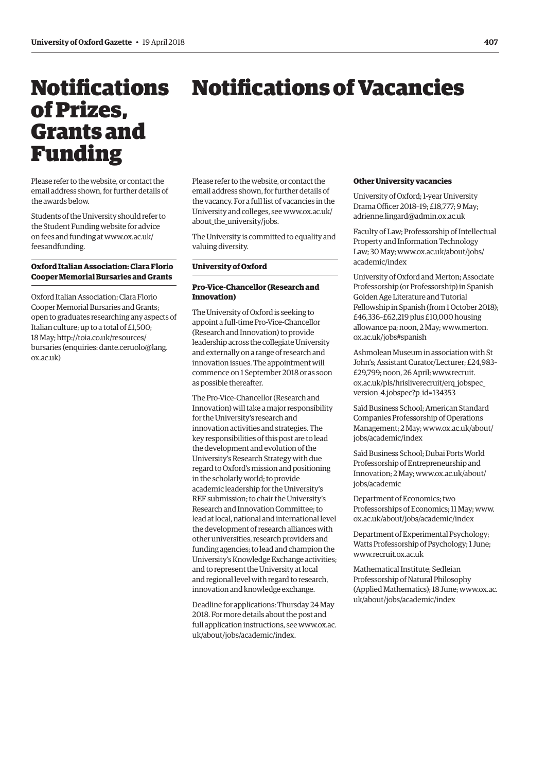<span id="page-14-0"></span>Notifications

of Prizes,

Funding

Grants and

# Notifications of Vacancies

Please refer to the website, or contact the email address shown, for further details of the awards below.

Students of the University should refer to the Student Funding website for advice [on fees and funding at www.ox.ac.uk/](www.ox.ac.uk/feesandfunding) feesandfunding.

# **Oxford Italian Association: Clara Florio Cooper Memorial Bursaries and Grants**

Oxford Italian Association; Clara Florio Cooper Memorial Bursaries and Grants; open to graduates researching any aspects of Italian culture; up to a total of £1,500; 18 M[ay; http://toia.co.uk/resources/](http://toia.oc.uk/resources/bursaries) bursaries (enqu[iries: dante.ceruolo@lang.](mailto:dante.ceruolo@lang.ox.ac.uk) ox.ac.uk)

Please refer to the website, or contact the email address shown, for further details of the vacancy. For a full list of vacancies in the [University and colleges, see www.ox.ac.uk/](www.ox.ac.uk/about_the_university/jobs) about the university/jobs.

The University is committed to equality and valuing diversity.

# **University of Oxford**

# **Pro-Vice-Chancellor (Research and Innovation)**

The University of Oxford is seeking to appoint a full-time Pro-Vice-Chancellor (Research and Innovation) to provide leadership across the collegiate University and externally on a range of research and innovation issues. The appointment will commence on 1 September 2018 or as soon as possible thereafter.

The Pro-Vice-Chancellor (Research and Innovation) will take a major responsibility for the University's research and innovation activities and strategies. The key responsibilities of this post are to lead the development and evolution of the University's Research Strategy with due regard to Oxford's mission and positioning in the scholarly world; to provide academic leadership for the University's REF submission; to chair the University's Research and Innovation Committee; to lead at local, national and international level the development of research alliances with other universities, research providers and funding agencies; to lead and champion the University's Knowledge Exchange activities; and to represent the University at local and regional level with regard to research, innovation and knowledge exchange.

Deadline for applications: Thursday 24 May 2018. For more details about the post and [full application instructions, see www.ox.ac.](www.ox.ac.uk/about/jobs/academic/index) uk/about/jobs/academic/index.

# **Other University vacancies**

University of Oxford; 1-year University Drama Officer 2018–19; £18,777; 9 May; [adrienne.lingard@admin.ox.ac.uk](mailto:adrienne.lingard@admin.ox.ac.uk)

Faculty of Law; Professorship of Intellectual Property and Information Technology [Law; 30 May; www.ox.ac.uk/about/jobs/](www.ox.ac.uk/about/jobs/academic/index) academic/index

University of Oxford and Merton; Associate Professorship (or Professorship) in Spanish Golden Age Literature and Tutorial Fellowship in Spanish (from 1 October 2018); £46,336–£62,219 plus £10,000 housing [allowance pa; noon, 2 May; www.merton.](www.merton.ox.ac.uk/jobs#spanish) ox.ac.uk/jobs#spanish

Ashmolean Museum in association with St John's; Assistant Curator/Lecturer; £24,983– £29,799; noon, 26 April; www.recruit. [ox.ac.uk/pls/hrisliverecruit/erq\\_jobspec\\_](www.recruit.ox.ac.uk/pls/hrisliverecruit/erq_jobspec_version_4.jobspec?p_id=134353) version\_4.jobspec?p\_id=134353

Saïd Business School; American Standard Companies Professorship of Operations [Management; 2 May; www.ox.ac.uk/about/](www.ox.ac.uk/about/jobs/academic/index) jobs/academic/index

Saïd Business School; Dubai Ports World Professorship of Entrepreneurship and [Innovation; 2 May; www.ox.ac.uk/about/](www.ox.ac.uk/about/jobs/academic/index) jobs/academic

Department of Economics; two Professorships of Economics; 11 May; [www.](http://www.ox.ac.uk/about/jobs/academic/index) [ox.ac.uk/about/jobs/academic/index](http://www.ox.ac.uk/about/jobs/academic/index)

Department of Experimental Psychology; Watts Professorship of Psychology; 1 June; [www.recruit.ox.ac.uk](http://www.recruit.ox.ac.uk)

Mathematical Institute; Sedleian Professorship of Natural Philosophy [\(Applied Mathematics\); 18 June; www.ox.ac.](www.ox.ac.uk/about/jobs/academic/index) uk/about/jobs/academic/index